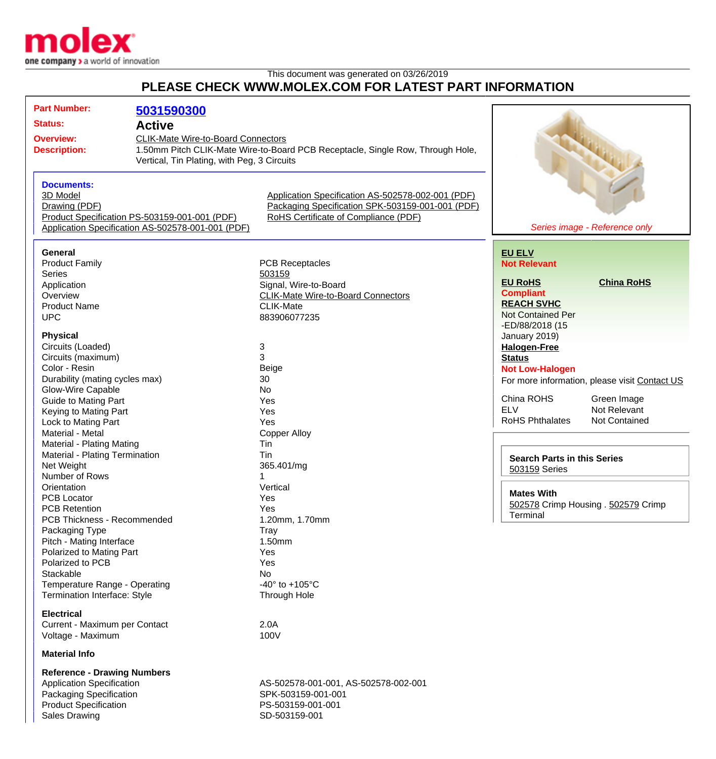

## This document was generated on 03/26/2019 **PLEASE CHECK WWW.MOLEX.COM FOR LATEST PART INFORMATION**

| <b>Part Number:</b>                               |                                                            |                                                                                |                                               |
|---------------------------------------------------|------------------------------------------------------------|--------------------------------------------------------------------------------|-----------------------------------------------|
|                                                   | 5031590300                                                 |                                                                                |                                               |
| <b>Status:</b>                                    | <b>Active</b><br><b>CLIK-Mate Wire-to-Board Connectors</b> |                                                                                |                                               |
| <b>Overview:</b>                                  |                                                            |                                                                                |                                               |
| <b>Description:</b>                               |                                                            | 1.50mm Pitch CLIK-Mate Wire-to-Board PCB Receptacle, Single Row, Through Hole, |                                               |
|                                                   | Vertical, Tin Plating, with Peg, 3 Circuits                |                                                                                |                                               |
|                                                   |                                                            |                                                                                | A MARINE                                      |
| <b>Documents:</b>                                 |                                                            |                                                                                |                                               |
| 3D Model                                          |                                                            | Application Specification AS-502578-002-001 (PDF)                              |                                               |
| Drawing (PDF)                                     |                                                            | Packaging Specification SPK-503159-001-001 (PDF)                               |                                               |
| Product Specification PS-503159-001-001 (PDF)     |                                                            | RoHS Certificate of Compliance (PDF)                                           |                                               |
| Application Specification AS-502578-001-001 (PDF) |                                                            |                                                                                | Series image - Reference only                 |
|                                                   |                                                            |                                                                                |                                               |
| <b>General</b>                                    |                                                            |                                                                                | <b>EU ELV</b>                                 |
| <b>Product Family</b>                             |                                                            | <b>PCB Receptacles</b>                                                         | <b>Not Relevant</b>                           |
| <b>Series</b>                                     |                                                            | 503159                                                                         |                                               |
| Application                                       |                                                            | Signal, Wire-to-Board                                                          | <b>China RoHS</b><br><b>EU RoHS</b>           |
| Overview                                          |                                                            | <b>CLIK-Mate Wire-to-Board Connectors</b>                                      | <b>Compliant</b>                              |
| <b>Product Name</b>                               |                                                            | <b>CLIK-Mate</b>                                                               | <b>REACH SVHC</b>                             |
| <b>UPC</b>                                        |                                                            | 883906077235                                                                   | <b>Not Contained Per</b>                      |
|                                                   |                                                            |                                                                                | -ED/88/2018 (15                               |
| <b>Physical</b>                                   |                                                            |                                                                                | January 2019)                                 |
| Circuits (Loaded)                                 |                                                            | 3                                                                              | <b>Halogen-Free</b>                           |
| Circuits (maximum)                                |                                                            | 3                                                                              | <b>Status</b>                                 |
| Color - Resin                                     |                                                            | Beige                                                                          | <b>Not Low-Halogen</b>                        |
| Durability (mating cycles max)                    |                                                            | 30                                                                             | For more information, please visit Contact US |
| Glow-Wire Capable                                 |                                                            | No                                                                             |                                               |
| <b>Guide to Mating Part</b>                       |                                                            | Yes                                                                            | China ROHS<br>Green Image                     |
| Keying to Mating Part                             |                                                            | Yes                                                                            | <b>ELV</b><br>Not Relevant                    |
| Lock to Mating Part                               |                                                            | Yes                                                                            | <b>RoHS Phthalates</b><br>Not Contained       |
| Material - Metal<br><b>Copper Alloy</b>           |                                                            |                                                                                |                                               |
| Material - Plating Mating<br>Tin                  |                                                            |                                                                                |                                               |
| Material - Plating Termination                    |                                                            | Tin                                                                            | <b>Search Parts in this Series</b>            |
| Net Weight                                        |                                                            | 365.401/mg                                                                     | 503159 Series                                 |
| Number of Rows                                    |                                                            | 1                                                                              |                                               |
| Orientation                                       |                                                            | Vertical                                                                       |                                               |
| <b>PCB Locator</b>                                |                                                            | Yes                                                                            | <b>Mates With</b>                             |
| <b>PCB Retention</b>                              |                                                            | Yes                                                                            | 502578 Crimp Housing . 502579 Crimp           |
| PCB Thickness - Recommended                       |                                                            | 1.20mm, 1.70mm                                                                 | Terminal                                      |
| Packaging Type                                    |                                                            | Tray                                                                           |                                               |
| Pitch - Mating Interface                          |                                                            | 1.50mm                                                                         |                                               |
| Polarized to Mating Part                          |                                                            | Yes                                                                            |                                               |
| Polarized to PCB                                  |                                                            | Yes                                                                            |                                               |
| Stackable                                         |                                                            | No                                                                             |                                               |
| Temperature Range - Operating                     |                                                            | -40 $\degree$ to +105 $\degree$ C                                              |                                               |
| <b>Termination Interface: Style</b>               |                                                            | Through Hole                                                                   |                                               |
| <b>Electrical</b>                                 |                                                            |                                                                                |                                               |
| Current - Maximum per Contact                     |                                                            | 2.0A                                                                           |                                               |
| Voltage - Maximum                                 |                                                            | 100V                                                                           |                                               |
|                                                   |                                                            |                                                                                |                                               |
| <b>Material Info</b>                              |                                                            |                                                                                |                                               |
| <b>Reference - Drawing Numbers</b>                |                                                            |                                                                                |                                               |
| <b>Application Specification</b>                  |                                                            | AS-502578-001-001, AS-502578-002-001                                           |                                               |

Packaging Specification SPK-503159-001-001 Product Specification PS-503159-001-001 Sales Drawing Sales Drawing SD-503159-001